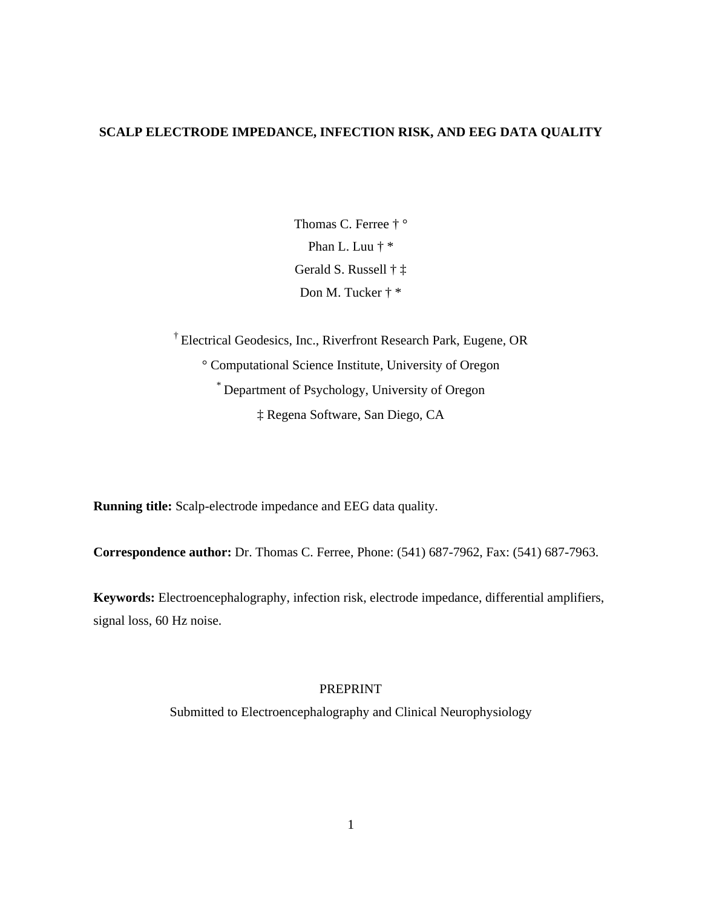# **SCALP ELECTRODE IMPEDANCE, INFECTION RISK, AND EEG DATA QUALITY**

Thomas C. Ferree † ° Phan L. Luu † \* Gerald S. Russell † ‡ Don M. Tucker † \*

† Electrical Geodesics, Inc., Riverfront Research Park, Eugene, OR ° Computational Science Institute, University of Oregon \* Department of Psychology, University of Oregon ‡ Regena Software, San Diego, CA

**Running title:** Scalp-electrode impedance and EEG data quality.

**Correspondence author:** Dr. Thomas C. Ferree, Phone: (541) 687-7962, Fax: (541) 687-7963.

**Keywords:** Electroencephalography, infection risk, electrode impedance, differential amplifiers, signal loss, 60 Hz noise.

# PREPRINT

Submitted to Electroencephalography and Clinical Neurophysiology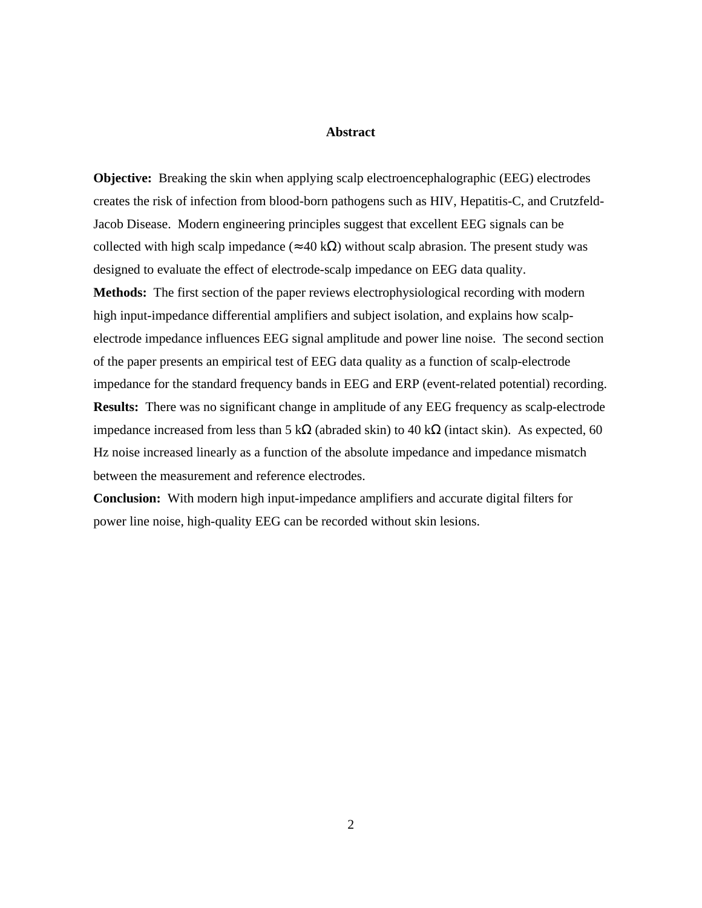# **Abstract**

**Objective:** Breaking the skin when applying scalp electroencephalographic (EEG) electrodes creates the risk of infection from blood-born pathogens such as HIV, Hepatitis-C, and Crutzfeld-Jacob Disease. Modern engineering principles suggest that excellent EEG signals can be collected with high scalp impedance  $(40 \text{ k})$  without scalp abrasion. The present study was designed to evaluate the effect of electrode-scalp impedance on EEG data quality.

**Methods:** The first section of the paper reviews electrophysiological recording with modern high input-impedance differential amplifiers and subject isolation, and explains how scalpelectrode impedance influences EEG signal amplitude and power line noise. The second section of the paper presents an empirical test of EEG data quality as a function of scalp-electrode impedance for the standard frequency bands in EEG and ERP (event-related potential) recording. **Results:** There was no significant change in amplitude of any EEG frequency as scalp-electrode impedance increased from less than  $5 \text{ k}$  (abraded skin) to  $40 \text{ k}$  (intact skin). As expected,  $60$ Hz noise increased linearly as a function of the absolute impedance and impedance mismatch between the measurement and reference electrodes.

**Conclusion:** With modern high input-impedance amplifiers and accurate digital filters for power line noise, high-quality EEG can be recorded without skin lesions.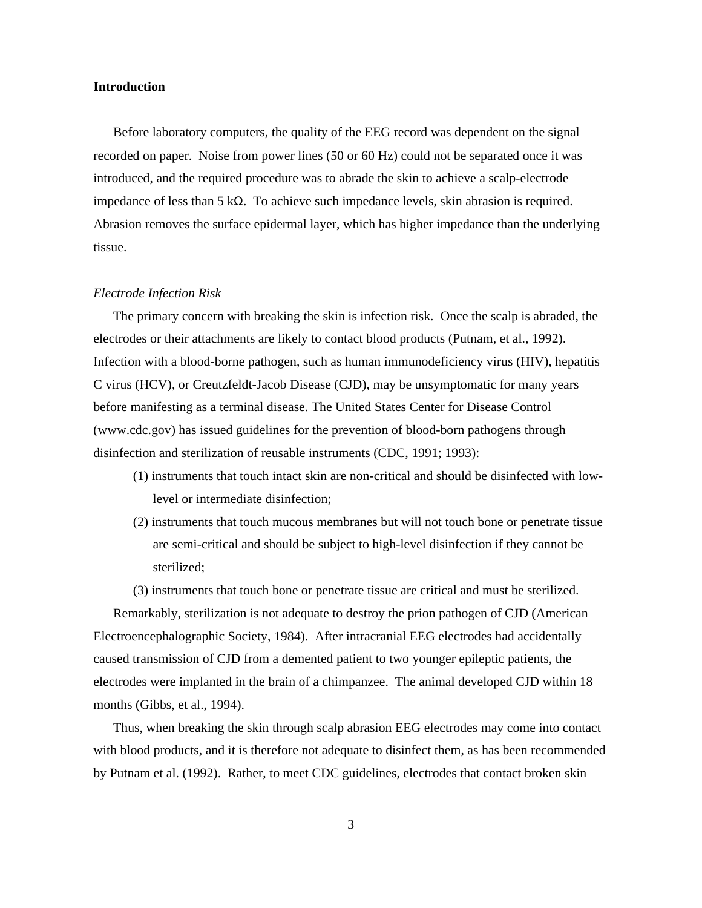## **Introduction**

Before laboratory computers, the quality of the EEG record was dependent on the signal recorded on paper. Noise from power lines (50 or 60 Hz) could not be separated once it was introduced, and the required procedure was to abrade the skin to achieve a scalp-electrode impedance of less than 5 k . To achieve such impedance levels, skin abrasion is required. Abrasion removes the surface epidermal layer, which has higher impedance than the underlying tissue.

#### *Electrode Infection Risk*

The primary concern with breaking the skin is infection risk. Once the scalp is abraded, the electrodes or their attachments are likely to contact blood products (Putnam, et al., 1992). Infection with a blood-borne pathogen, such as human immunodeficiency virus (HIV), hepatitis C virus (HCV), or Creutzfeldt-Jacob Disease (CJD), may be unsymptomatic for many years before manifesting as a terminal disease. The United States Center for Disease Control (www.cdc.gov) has issued guidelines for the prevention of blood-born pathogens through disinfection and sterilization of reusable instruments (CDC, 1991; 1993):

- (1) instruments that touch intact skin are non-critical and should be disinfected with lowlevel or intermediate disinfection;
- (2) instruments that touch mucous membranes but will not touch bone or penetrate tissue are semi-critical and should be subject to high-level disinfection if they cannot be sterilized;

(3) instruments that touch bone or penetrate tissue are critical and must be sterilized.

Remarkably, sterilization is not adequate to destroy the prion pathogen of CJD (American Electroencephalographic Society, 1984). After intracranial EEG electrodes had accidentally caused transmission of CJD from a demented patient to two younger epileptic patients, the electrodes were implanted in the brain of a chimpanzee. The animal developed CJD within 18 months (Gibbs, et al., 1994).

Thus, when breaking the skin through scalp abrasion EEG electrodes may come into contact with blood products, and it is therefore not adequate to disinfect them, as has been recommended by Putnam et al. (1992). Rather, to meet CDC guidelines, electrodes that contact broken skin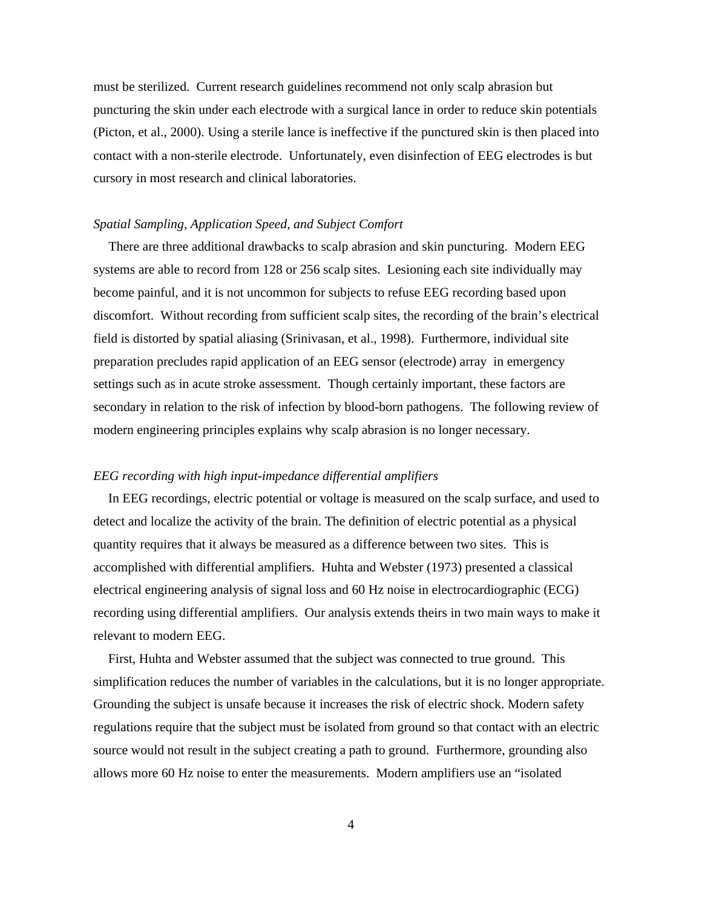must be sterilized. Current research guidelines recommend not only scalp abrasion but puncturing the skin under each electrode with a surgical lance in order to reduce skin potentials (Picton, et al., 2000). Using a sterile lance is ineffective if the punctured skin is then placed into contact with a non-sterile electrode. Unfortunately, even disinfection of EEG electrodes is but cursory in most research and clinical laboratories.

## *Spatial Sampling, Application Speed, and Subject Comfort*

There are three additional drawbacks to scalp abrasion and skin puncturing. Modern EEG systems are able to record from 128 or 256 scalp sites. Lesioning each site individually may become painful, and it is not uncommon for subjects to refuse EEG recording based upon discomfort. Without recording from sufficient scalp sites, the recording of the brain's electrical field is distorted by spatial aliasing (Srinivasan, et al., 1998). Furthermore, individual site preparation precludes rapid application of an EEG sensor (electrode) array in emergency settings such as in acute stroke assessment. Though certainly important, these factors are secondary in relation to the risk of infection by blood-born pathogens. The following review of modern engineering principles explains why scalp abrasion is no longer necessary.

# *EEG recording with high input-impedance differential amplifiers*

In EEG recordings, electric potential or voltage is measured on the scalp surface, and used to detect and localize the activity of the brain. The definition of electric potential as a physical quantity requires that it always be measured as a difference between two sites. This is accomplished with differential amplifiers. Huhta and Webster (1973) presented a classical electrical engineering analysis of signal loss and 60 Hz noise in electrocardiographic (ECG) recording using differential amplifiers. Our analysis extends theirs in two main ways to make it relevant to modern EEG.

First, Huhta and Webster assumed that the subject was connected to true ground. This simplification reduces the number of variables in the calculations, but it is no longer appropriate. Grounding the subject is unsafe because it increases the risk of electric shock. Modern safety regulations require that the subject must be isolated from ground so that contact with an electric source would not result in the subject creating a path to ground. Furthermore, grounding also allows more 60 Hz noise to enter the measurements. Modern amplifiers use an "isolated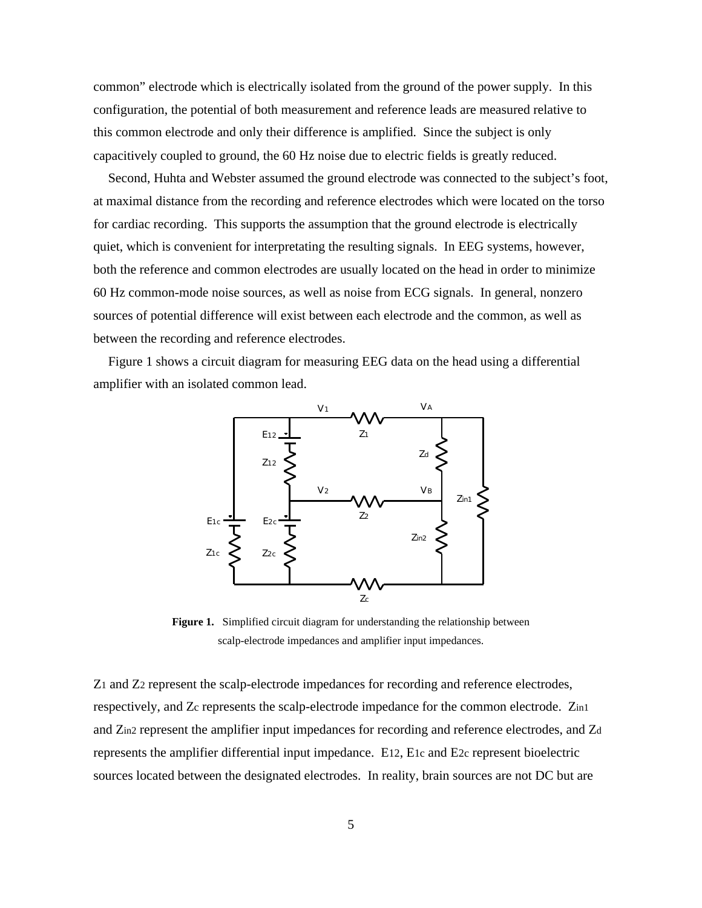common" electrode which is electrically isolated from the ground of the power supply. In this configuration, the potential of both measurement and reference leads are measured relative to this common electrode and only their difference is amplified. Since the subject is only capacitively coupled to ground, the 60 Hz noise due to electric fields is greatly reduced.

Second, Huhta and Webster assumed the ground electrode was connected to the subject's foot, at maximal distance from the recording and reference electrodes which were located on the torso for cardiac recording. This supports the assumption that the ground electrode is electrically quiet, which is convenient for interpretating the resulting signals. In EEG systems, however, both the reference and common electrodes are usually located on the head in order to minimize 60 Hz common-mode noise sources, as well as noise from ECG signals. In general, nonzero sources of potential difference will exist between each electrode and the common, as well as between the recording and reference electrodes.

Figure 1 shows a circuit diagram for measuring EEG data on the head using a differential amplifier with an isolated common lead.



**Figure 1.** Simplified circuit diagram for understanding the relationship between scalp-electrode impedances and amplifier input impedances.

Z1 and Z2 represent the scalp-electrode impedances for recording and reference electrodes, respectively, and Zc represents the scalp-electrode impedance for the common electrode. Zin1 and Zin2 represent the amplifier input impedances for recording and reference electrodes, and Zd represents the amplifier differential input impedance. E12, E1c and E2c represent bioelectric sources located between the designated electrodes. In reality, brain sources are not DC but are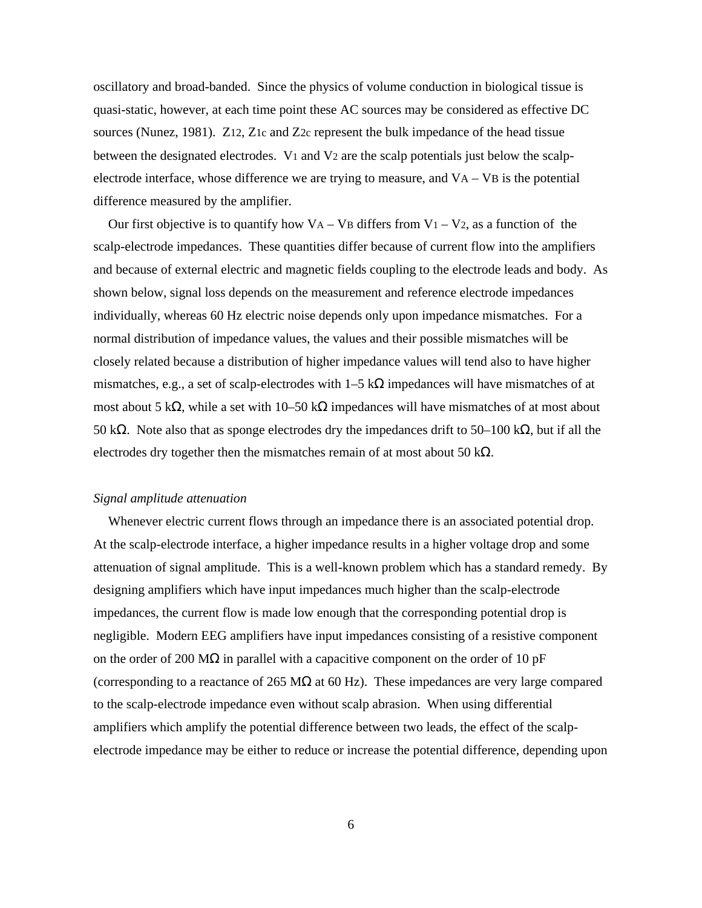oscillatory and broad-banded. Since the physics of volume conduction in biological tissue is quasi-static, however, at each time point these AC sources may be considered as effective DC sources (Nunez, 1981). Z12, Z1c and Z2c represent the bulk impedance of the head tissue between the designated electrodes.  $V_1$  and  $V_2$  are the scalp potentials just below the scalpelectrode interface, whose difference we are trying to measure, and VA – VB is the potential difference measured by the amplifier.

Our first objective is to quantify how  $VA - VB$  differs from  $V_1 - V_2$ , as a function of the scalp-electrode impedances. These quantities differ because of current flow into the amplifiers and because of external electric and magnetic fields coupling to the electrode leads and body. As shown below, signal loss depends on the measurement and reference electrode impedances individually, whereas 60 Hz electric noise depends only upon impedance mismatches. For a normal distribution of impedance values, the values and their possible mismatches will be closely related because a distribution of higher impedance values will tend also to have higher mismatches, e.g., a set of scalp-electrodes with  $1-5$  k impedances will have mismatches of at most about  $5 \text{ k}$ , while a set with  $10-50 \text{ k}$  impedances will have mismatches of at most about 50 k . Note also that as sponge electrodes dry the impedances drift to  $50-100$  k, but if all the electrodes dry together then the mismatches remain of at most about 50 k .

# *Signal amplitude attenuation*

Whenever electric current flows through an impedance there is an associated potential drop. At the scalp-electrode interface, a higher impedance results in a higher voltage drop and some attenuation of signal amplitude. This is a well-known problem which has a standard remedy. By designing amplifiers which have input impedances much higher than the scalp-electrode impedances, the current flow is made low enough that the corresponding potential drop is negligible. Modern EEG amplifiers have input impedances consisting of a resistive component on the order of 200 M in parallel with a capacitive component on the order of 10 pF (corresponding to a reactance of  $265 \text{ M}$  at  $60 \text{ Hz}$ ). These impedances are very large compared to the scalp-electrode impedance even without scalp abrasion. When using differential amplifiers which amplify the potential difference between two leads, the effect of the scalpelectrode impedance may be either to reduce or increase the potential difference, depending upon

6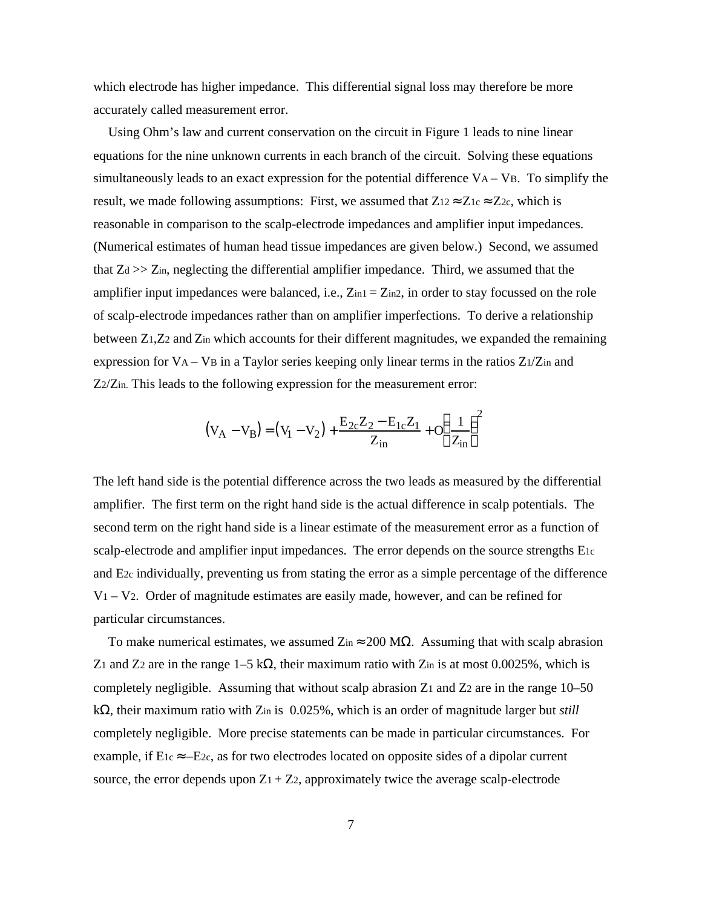which electrode has higher impedance. This differential signal loss may therefore be more accurately called measurement error.

Using Ohm's law and current conservation on the circuit in Figure 1 leads to nine linear equations for the nine unknown currents in each branch of the circuit. Solving these equations simultaneously leads to an exact expression for the potential difference  $VA - VB$ . To simplify the result, we made following assumptions: First, we assumed that  $Z_{12}$   $Z_{1c}$   $Z_{2c}$ , which is reasonable in comparison to the scalp-electrode impedances and amplifier input impedances. (Numerical estimates of human head tissue impedances are given below.) Second, we assumed that  $Z_d \gg Z_{in}$ , neglecting the differential amplifier impedance. Third, we assumed that the amplifier input impedances were balanced, i.e.,  $Z_{in1} = Z_{in2}$ , in order to stay focussed on the role of scalp-electrode impedances rather than on amplifier imperfections. To derive a relationship between Z1,Z2 and Zin which accounts for their different magnitudes, we expanded the remaining expression for  $VA - VB$  in a Taylor series keeping only linear terms in the ratios  $Z1/Z$ in and Z2/Zin. This leads to the following expression for the measurement error:

$$
(V_A - V_B) = (V_1 - V_2) + \frac{E_{2c}Z_2 - E_{1c}Z_1}{Z_{in}} + O \frac{1}{Z_{in}}^2
$$

The left hand side is the potential difference across the two leads as measured by the differential amplifier. The first term on the right hand side is the actual difference in scalp potentials. The second term on the right hand side is a linear estimate of the measurement error as a function of scalp-electrode and amplifier input impedances. The error depends on the source strengths E1c and E2c individually, preventing us from stating the error as a simple percentage of the difference  $V_1 - V_2$ . Order of magnitude estimates are easily made, however, and can be refined for particular circumstances.

To make numerical estimates, we assumed Zin 200 M . Assuming that with scalp abrasion Z<sub>1</sub> and Z<sub>2</sub> are in the range  $1-5k$ , their maximum ratio with Z<sub>in</sub> is at most 0.0025%, which is completely negligible. Assuming that without scalp abrasion  $Z_1$  and  $Z_2$  are in the range 10–50 k , their maximum ratio with Zin is 0.025%, which is an order of magnitude larger but *still* completely negligible. More precise statements can be made in particular circumstances. For example, if E1c –E2c, as for two electrodes located on opposite sides of a dipolar current source, the error depends upon  $Z_1 + Z_2$ , approximately twice the average scalp-electrode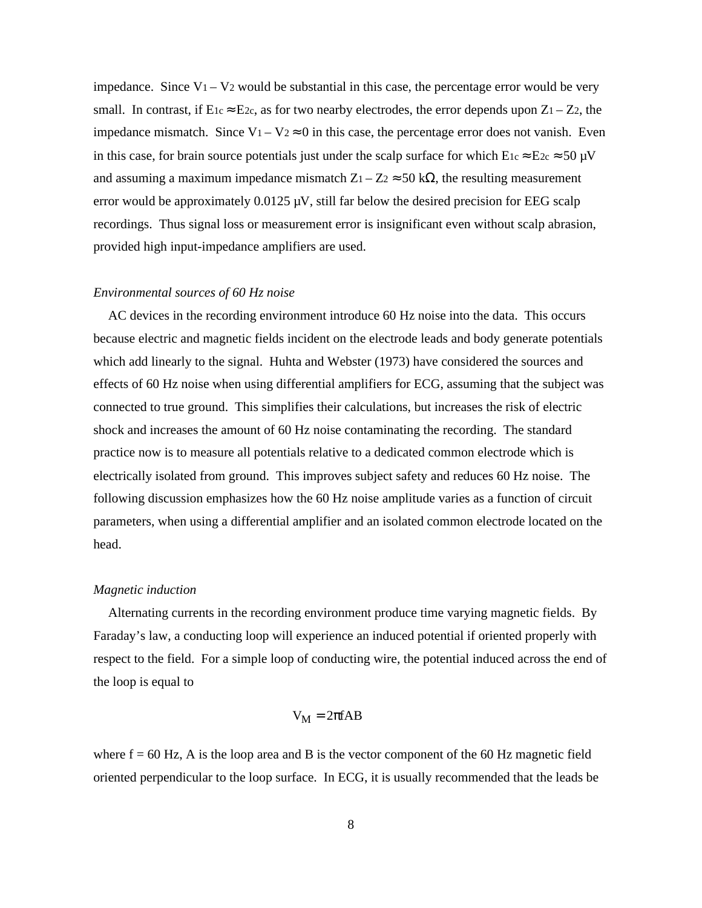impedance. Since  $V_1 - V_2$  would be substantial in this case, the percentage error would be very small. In contrast, if  $E_1c$   $E_2c$ , as for two nearby electrodes, the error depends upon  $Z_1 - Z_2$ , the impedance mismatch. Since  $V_1 - V_2$  0 in this case, the percentage error does not vanish. Even in this case, for brain source potentials just under the scalp surface for which  $E_1c$   $E_2c$  50  $\mu$ V and assuming a maximum impedance mismatch  $Z_1 - Z_2$  50 k, the resulting measurement error would be approximately  $0.0125 \mu V$ , still far below the desired precision for EEG scalp recordings. Thus signal loss or measurement error is insignificant even without scalp abrasion, provided high input-impedance amplifiers are used.

## *Environmental sources of 60 Hz noise*

AC devices in the recording environment introduce 60 Hz noise into the data. This occurs because electric and magnetic fields incident on the electrode leads and body generate potentials which add linearly to the signal. Huhta and Webster (1973) have considered the sources and effects of 60 Hz noise when using differential amplifiers for ECG, assuming that the subject was connected to true ground. This simplifies their calculations, but increases the risk of electric shock and increases the amount of 60 Hz noise contaminating the recording. The standard practice now is to measure all potentials relative to a dedicated common electrode which is electrically isolated from ground. This improves subject safety and reduces 60 Hz noise. The following discussion emphasizes how the 60 Hz noise amplitude varies as a function of circuit parameters, when using a differential amplifier and an isolated common electrode located on the head.

### *Magnetic induction*

Alternating currents in the recording environment produce time varying magnetic fields. By Faraday's law, a conducting loop will experience an induced potential if oriented properly with respect to the field. For a simple loop of conducting wire, the potential induced across the end of the loop is equal to

$$
V_{\mathbf{M}} = 2 fAB
$$

where  $f = 60$  Hz, A is the loop area and B is the vector component of the 60 Hz magnetic field oriented perpendicular to the loop surface. In ECG, it is usually recommended that the leads be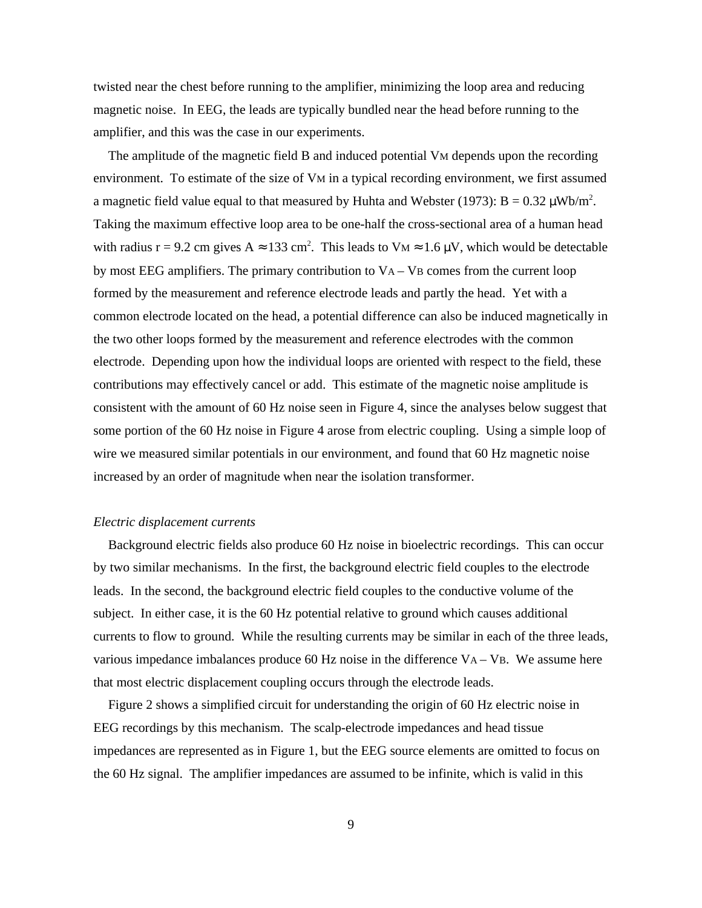twisted near the chest before running to the amplifier, minimizing the loop area and reducing magnetic noise. In EEG, the leads are typically bundled near the head before running to the amplifier, and this was the case in our experiments.

The amplitude of the magnetic field B and induced potential VM depends upon the recording environment. To estimate of the size of VM in a typical recording environment, we first assumed a magnetic field value equal to that measured by Huhta and Webster (1973):  $B = 0.32 \mu Wb/m^2$ . Taking the maximum effective loop area to be one-half the cross-sectional area of a human head with radius  $r = 9.2$  cm gives A 133 cm<sup>2</sup>. This leads to V<sub>M</sub> 1.6  $\mu$ V, which would be detectable by most EEG amplifiers. The primary contribution to VA – VB comes from the current loop formed by the measurement and reference electrode leads and partly the head. Yet with a common electrode located on the head, a potential difference can also be induced magnetically in the two other loops formed by the measurement and reference electrodes with the common electrode. Depending upon how the individual loops are oriented with respect to the field, these contributions may effectively cancel or add. This estimate of the magnetic noise amplitude is consistent with the amount of 60 Hz noise seen in Figure 4, since the analyses below suggest that some portion of the 60 Hz noise in Figure 4 arose from electric coupling. Using a simple loop of wire we measured similar potentials in our environment, and found that 60 Hz magnetic noise increased by an order of magnitude when near the isolation transformer.

## *Electric displacement currents*

Background electric fields also produce 60 Hz noise in bioelectric recordings. This can occur by two similar mechanisms. In the first, the background electric field couples to the electrode leads. In the second, the background electric field couples to the conductive volume of the subject. In either case, it is the 60 Hz potential relative to ground which causes additional currents to flow to ground. While the resulting currents may be similar in each of the three leads, various impedance imbalances produce 60 Hz noise in the difference  $VA - VB$ . We assume here that most electric displacement coupling occurs through the electrode leads.

Figure 2 shows a simplified circuit for understanding the origin of 60 Hz electric noise in EEG recordings by this mechanism. The scalp-electrode impedances and head tissue impedances are represented as in Figure 1, but the EEG source elements are omitted to focus on the 60 Hz signal. The amplifier impedances are assumed to be infinite, which is valid in this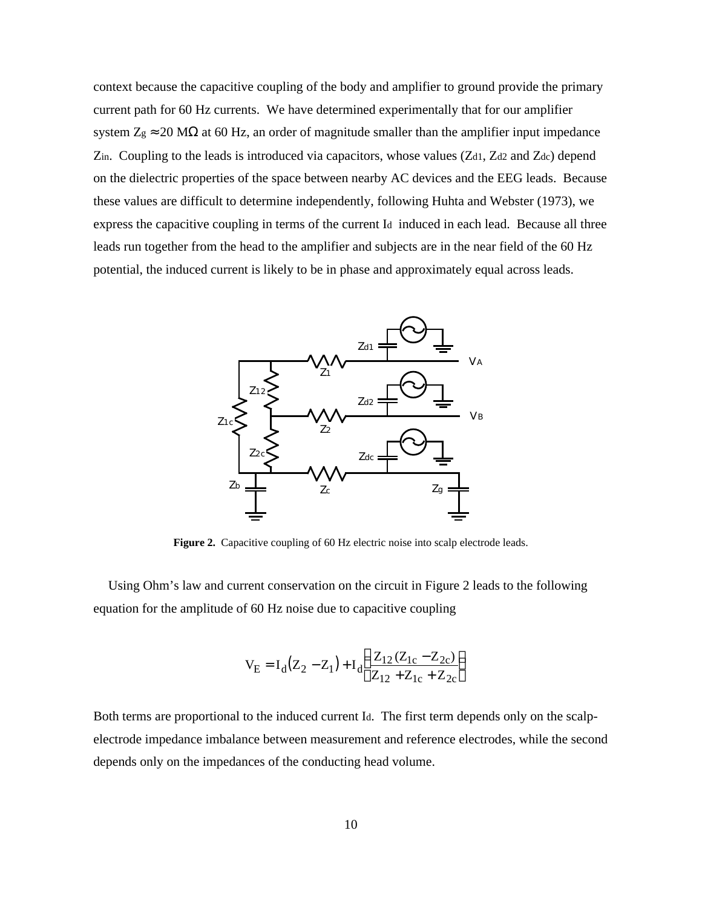context because the capacitive coupling of the body and amplifier to ground provide the primary current path for 60 Hz currents. We have determined experimentally that for our amplifier system  $Z_g$  20 M at 60 Hz, an order of magnitude smaller than the amplifier input impedance Zin. Coupling to the leads is introduced via capacitors, whose values (Zd1, Zd2 and Zdc) depend on the dielectric properties of the space between nearby AC devices and the EEG leads. Because these values are difficult to determine independently, following Huhta and Webster (1973), we express the capacitive coupling in terms of the current Id induced in each lead. Because all three leads run together from the head to the amplifier and subjects are in the near field of the 60 Hz potential, the induced current is likely to be in phase and approximately equal across leads.



**Figure 2.** Capacitive coupling of 60 Hz electric noise into scalp electrode leads.

Using Ohm's law and current conservation on the circuit in Figure 2 leads to the following equation for the amplitude of 60 Hz noise due to capacitive coupling

$$
V_{E} = I_{d}(Z_{2} - Z_{1}) + I_{d} \frac{Z_{12}(Z_{1c} - Z_{2c})}{Z_{12} + Z_{1c} + Z_{2c}}
$$

Both terms are proportional to the induced current Id. The first term depends only on the scalpelectrode impedance imbalance between measurement and reference electrodes, while the second depends only on the impedances of the conducting head volume.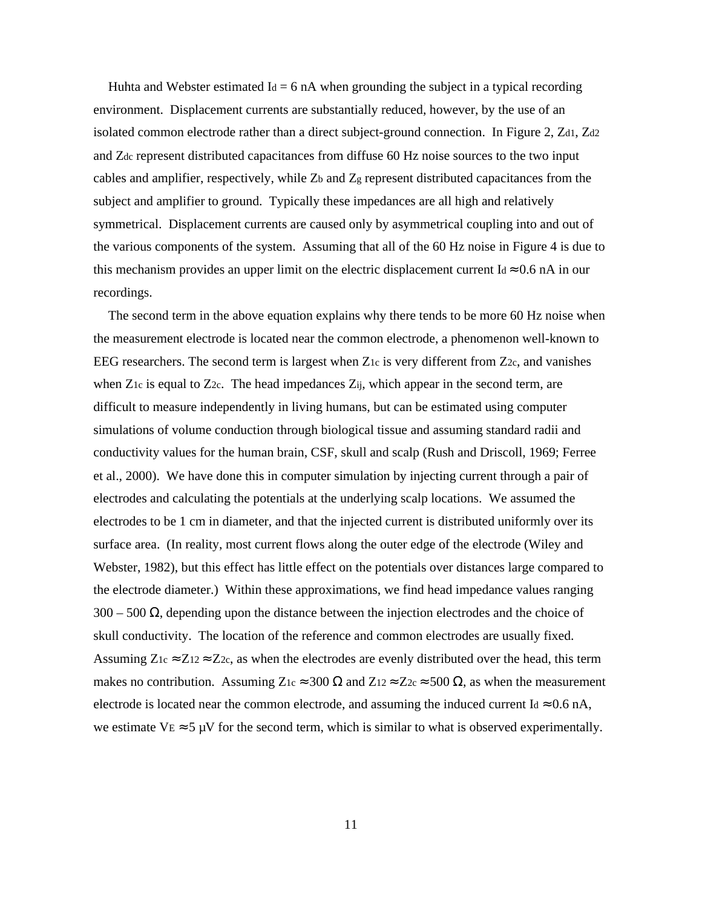Huhta and Webster estimated  $I_d = 6$  nA when grounding the subject in a typical recording environment. Displacement currents are substantially reduced, however, by the use of an isolated common electrode rather than a direct subject-ground connection. In Figure 2, Zd1, Zd2 and Zdc represent distributed capacitances from diffuse 60 Hz noise sources to the two input cables and amplifier, respectively, while Zb and Zg represent distributed capacitances from the subject and amplifier to ground. Typically these impedances are all high and relatively symmetrical. Displacement currents are caused only by asymmetrical coupling into and out of the various components of the system. Assuming that all of the 60 Hz noise in Figure 4 is due to this mechanism provides an upper limit on the electric displacement current Id 0.6 nA in our recordings.

The second term in the above equation explains why there tends to be more 60 Hz noise when the measurement electrode is located near the common electrode, a phenomenon well-known to EEG researchers. The second term is largest when Z<sub>1c</sub> is very different from Z<sub>2c</sub>, and vanishes when  $Z_1c$  is equal to  $Z_2c$ . The head impedances  $Z_{ij}$ , which appear in the second term, are difficult to measure independently in living humans, but can be estimated using computer simulations of volume conduction through biological tissue and assuming standard radii and conductivity values for the human brain, CSF, skull and scalp (Rush and Driscoll, 1969; Ferree et al., 2000). We have done this in computer simulation by injecting current through a pair of electrodes and calculating the potentials at the underlying scalp locations. We assumed the electrodes to be 1 cm in diameter, and that the injected current is distributed uniformly over its surface area. (In reality, most current flows along the outer edge of the electrode (Wiley and Webster, 1982), but this effect has little effect on the potentials over distances large compared to the electrode diameter.) Within these approximations, we find head impedance values ranging 300 – 500 , depending upon the distance between the injection electrodes and the choice of skull conductivity. The location of the reference and common electrodes are usually fixed. Assuming  $Z_1c$   $Z_12$   $Z_2c$ , as when the electrodes are evenly distributed over the head, this term makes no contribution. Assuming  $Z_{1c}$  300 and  $Z_{12}$   $Z_{2c}$  500 , as when the measurement electrode is located near the common electrode, and assuming the induced current Id 0.6 nA, we estimate  $V_E$  5  $\mu$ V for the second term, which is similar to what is observed experimentally.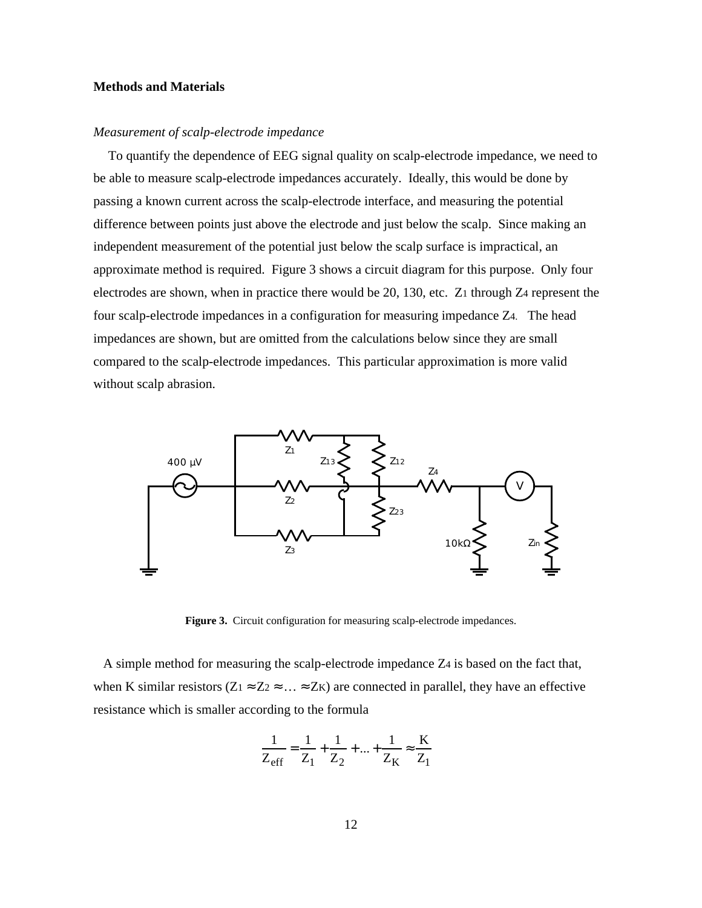# **Methods and Materials**

# *Measurement of scalp-electrode impedance*

To quantify the dependence of EEG signal quality on scalp-electrode impedance, we need to be able to measure scalp-electrode impedances accurately. Ideally, this would be done by passing a known current across the scalp-electrode interface, and measuring the potential difference between points just above the electrode and just below the scalp. Since making an independent measurement of the potential just below the scalp surface is impractical, an approximate method is required. Figure 3 shows a circuit diagram for this purpose. Only four electrodes are shown, when in practice there would be 20, 130, etc. Z1 through Z4 represent the four scalp-electrode impedances in a configuration for measuring impedance Z4. The head impedances are shown, but are omitted from the calculations below since they are small compared to the scalp-electrode impedances. This particular approximation is more valid without scalp abrasion.



Figure 3. Circuit configuration for measuring scalp-electrode impedances.

 A simple method for measuring the scalp-electrode impedance Z4 is based on the fact that, when K similar resistors  $(Z_1 \quad Z_2 \quad \dots \quad Z_K)$  are connected in parallel, they have an effective resistance which is smaller according to the formula

$$
\frac{1}{Z_{\text{eff}}} = \frac{1}{Z_1} + \frac{1}{Z_2} + \dots + \frac{1}{Z_K} \quad \frac{K}{Z_1}
$$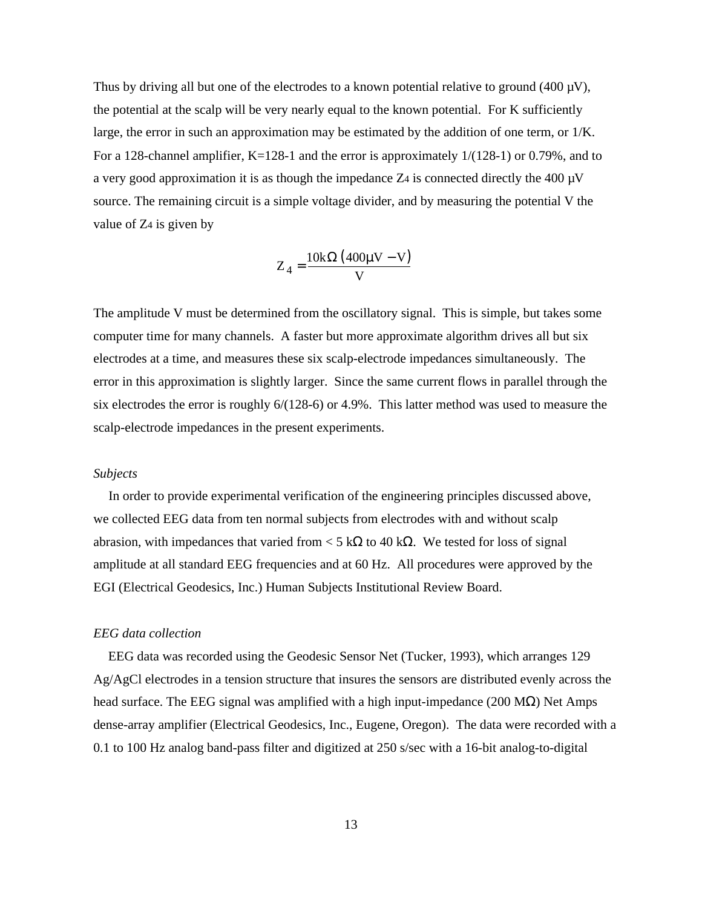Thus by driving all but one of the electrodes to a known potential relative to ground (400  $\mu$ V), the potential at the scalp will be very nearly equal to the known potential. For K sufficiently large, the error in such an approximation may be estimated by the addition of one term, or 1/K. For a 128-channel amplifier, K=128-1 and the error is approximately  $1/(128-1)$  or 0.79%, and to a very good approximation it is as though the impedance  $Z_4$  is connected directly the 400  $\mu$ V source. The remaining circuit is a simple voltage divider, and by measuring the potential V the value of Z4 is given by

$$
Z_4 = \frac{10k \quad (400 \mu V - V)}{V}
$$

The amplitude V must be determined from the oscillatory signal. This is simple, but takes some computer time for many channels. A faster but more approximate algorithm drives all but six electrodes at a time, and measures these six scalp-electrode impedances simultaneously. The error in this approximation is slightly larger. Since the same current flows in parallel through the six electrodes the error is roughly 6/(128-6) or 4.9%. This latter method was used to measure the scalp-electrode impedances in the present experiments.

#### *Subjects*

In order to provide experimental verification of the engineering principles discussed above, we collected EEG data from ten normal subjects from electrodes with and without scalp abrasion, with impedances that varied from  $\lt 5$  k to 40 k. We tested for loss of signal amplitude at all standard EEG frequencies and at 60 Hz. All procedures were approved by the EGI (Electrical Geodesics, Inc.) Human Subjects Institutional Review Board.

#### *EEG data collection*

EEG data was recorded using the Geodesic Sensor Net (Tucker, 1993), which arranges 129 Ag/AgCl electrodes in a tension structure that insures the sensors are distributed evenly across the head surface. The EEG signal was amplified with a high input-impedance (200 M ) Net Amps dense-array amplifier (Electrical Geodesics, Inc., Eugene, Oregon). The data were recorded with a 0.1 to 100 Hz analog band-pass filter and digitized at 250 s/sec with a 16-bit analog-to-digital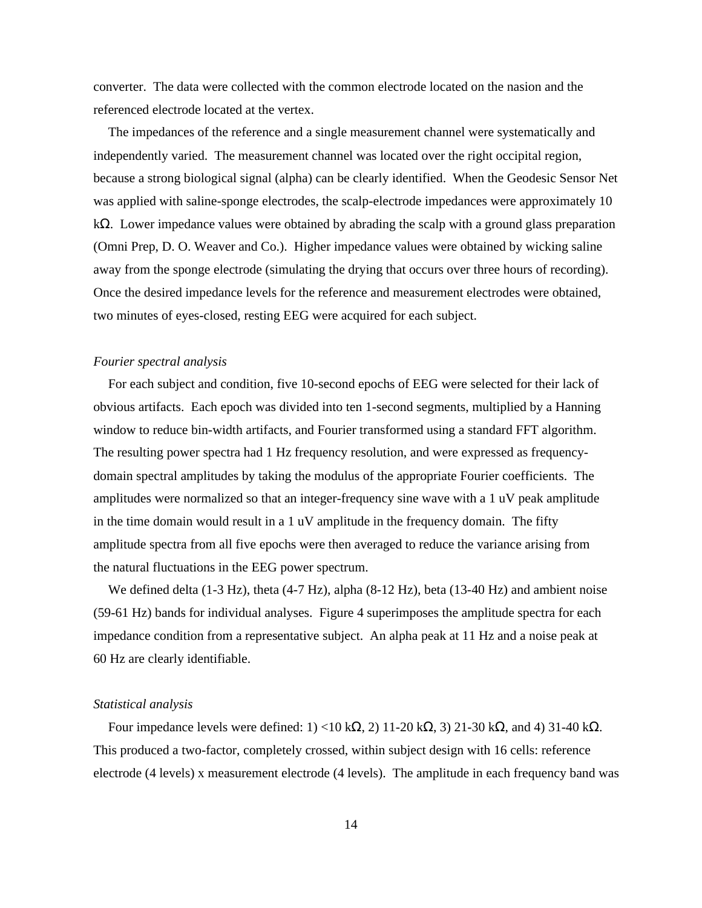converter. The data were collected with the common electrode located on the nasion and the referenced electrode located at the vertex.

The impedances of the reference and a single measurement channel were systematically and independently varied. The measurement channel was located over the right occipital region, because a strong biological signal (alpha) can be clearly identified. When the Geodesic Sensor Net was applied with saline-sponge electrodes, the scalp-electrode impedances were approximately 10 k . Lower impedance values were obtained by abrading the scalp with a ground glass preparation (Omni Prep, D. O. Weaver and Co.). Higher impedance values were obtained by wicking saline away from the sponge electrode (simulating the drying that occurs over three hours of recording). Once the desired impedance levels for the reference and measurement electrodes were obtained, two minutes of eyes-closed, resting EEG were acquired for each subject.

# *Fourier spectral analysis*

For each subject and condition, five 10-second epochs of EEG were selected for their lack of obvious artifacts. Each epoch was divided into ten 1-second segments, multiplied by a Hanning window to reduce bin-width artifacts, and Fourier transformed using a standard FFT algorithm. The resulting power spectra had 1 Hz frequency resolution, and were expressed as frequencydomain spectral amplitudes by taking the modulus of the appropriate Fourier coefficients. The amplitudes were normalized so that an integer-frequency sine wave with a 1 uV peak amplitude in the time domain would result in a 1 uV amplitude in the frequency domain. The fifty amplitude spectra from all five epochs were then averaged to reduce the variance arising from the natural fluctuations in the EEG power spectrum.

We defined delta (1-3 Hz), theta (4-7 Hz), alpha (8-12 Hz), beta (13-40 Hz) and ambient noise (59-61 Hz) bands for individual analyses. Figure 4 superimposes the amplitude spectra for each impedance condition from a representative subject. An alpha peak at 11 Hz and a noise peak at 60 Hz are clearly identifiable.

## *Statistical analysis*

Four impedance levels were defined:  $1$  <10 k , 2) 11-20 k , 3) 21-30 k , and 4) 31-40 k . This produced a two-factor, completely crossed, within subject design with 16 cells: reference electrode (4 levels) x measurement electrode (4 levels). The amplitude in each frequency band was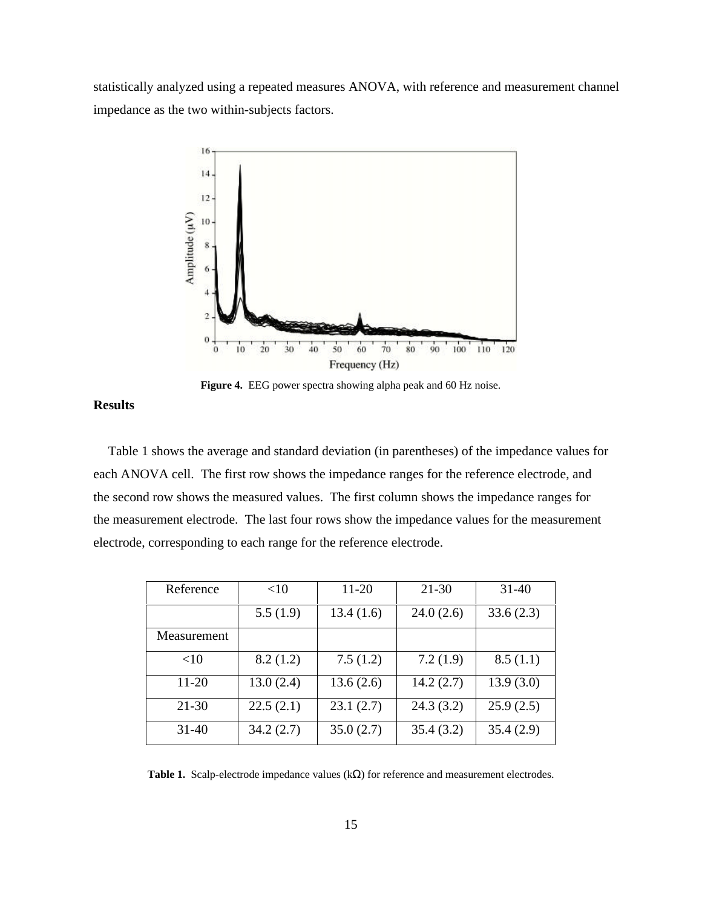statistically analyzed using a repeated measures ANOVA, with reference and measurement channel impedance as the two within-subjects factors.



**Figure 4.** EEG power spectra showing alpha peak and 60 Hz noise.

# **Results**

Table 1 shows the average and standard deviation (in parentheses) of the impedance values for each ANOVA cell. The first row shows the impedance ranges for the reference electrode, and the second row shows the measured values. The first column shows the impedance ranges for the measurement electrode. The last four rows show the impedance values for the measurement electrode, corresponding to each range for the reference electrode.

| Reference   | <10       | 11-20     | $21 - 30$ | $31 - 40$ |
|-------------|-----------|-----------|-----------|-----------|
|             | 5.5(1.9)  | 13.4(1.6) | 24.0(2.6) | 33.6(2.3) |
| Measurement |           |           |           |           |
| <10         | 8.2(1.2)  | 7.5(1.2)  | 7.2(1.9)  | 8.5(1.1)  |
| 11-20       | 13.0(2.4) | 13.6(2.6) | 14.2(2.7) | 13.9(3.0) |
| $21 - 30$   | 22.5(2.1) | 23.1(2.7) | 24.3(3.2) | 25.9(2.5) |
| $31 - 40$   | 34.2(2.7) | 35.0(2.7) | 35.4(3.2) | 35.4(2.9) |

Table 1. Scalp-electrode impedance values (k) for reference and measurement electrodes.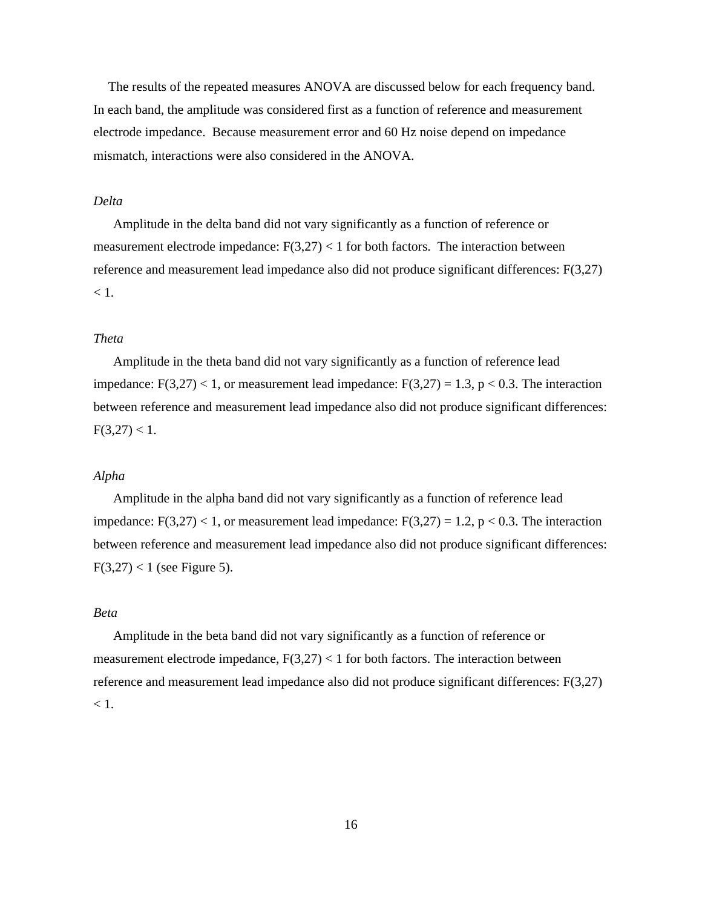The results of the repeated measures ANOVA are discussed below for each frequency band. In each band, the amplitude was considered first as a function of reference and measurement electrode impedance. Because measurement error and 60 Hz noise depend on impedance mismatch, interactions were also considered in the ANOVA.

# *Delta*

Amplitude in the delta band did not vary significantly as a function of reference or measurement electrode impedance:  $F(3,27) < 1$  for both factors. The interaction between reference and measurement lead impedance also did not produce significant differences: F(3,27)  $< 1.$ 

### *Theta*

Amplitude in the theta band did not vary significantly as a function of reference lead impedance:  $F(3,27) < 1$ , or measurement lead impedance:  $F(3,27) = 1.3$ , p  $< 0.3$ . The interaction between reference and measurement lead impedance also did not produce significant differences:  $F(3,27) < 1.$ 

# *Alpha*

Amplitude in the alpha band did not vary significantly as a function of reference lead impedance:  $F(3,27)$  < 1, or measurement lead impedance:  $F(3,27) = 1.2$ , p < 0.3. The interaction between reference and measurement lead impedance also did not produce significant differences:  $F(3,27) < 1$  (see Figure 5).

# *Beta*

Amplitude in the beta band did not vary significantly as a function of reference or measurement electrode impedance,  $F(3,27) < 1$  for both factors. The interaction between reference and measurement lead impedance also did not produce significant differences: F(3,27)  $< 1$ .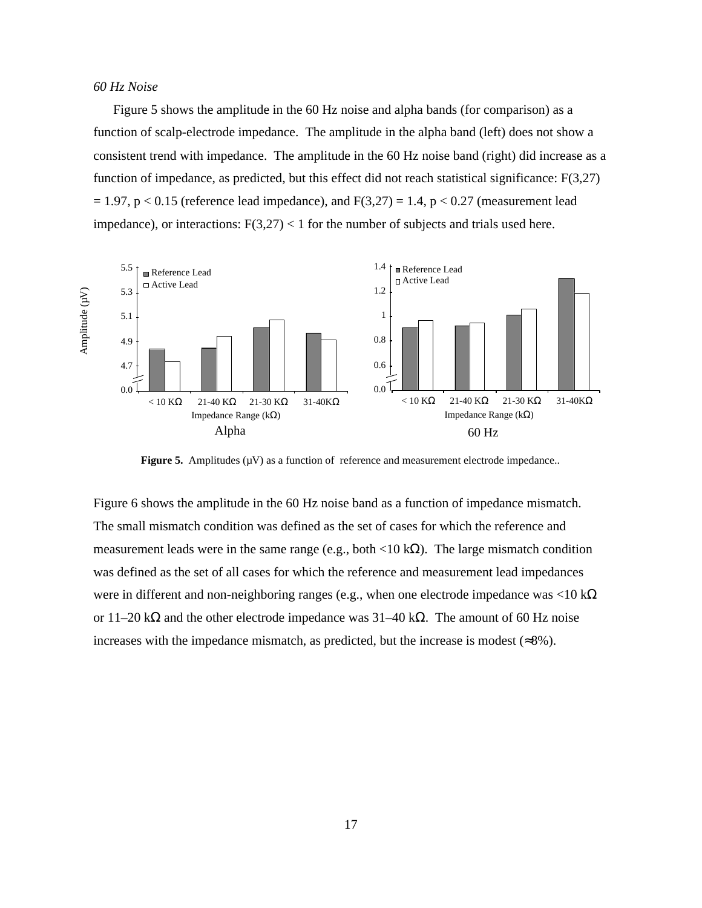## *60 Hz Noise*

Figure 5 shows the amplitude in the 60 Hz noise and alpha bands (for comparison) as a function of scalp-electrode impedance. The amplitude in the alpha band (left) does not show a consistent trend with impedance. The amplitude in the 60 Hz noise band (right) did increase as a function of impedance, as predicted, but this effect did not reach statistical significance: F(3,27)  $= 1.97$ , p < 0.15 (reference lead impedance), and F(3,27) = 1.4, p < 0.27 (measurement lead impedance), or interactions:  $F(3,27) < 1$  for the number of subjects and trials used here.



**Figure 5.** Amplitudes  $(\mu V)$  as a function of reference and measurement electrode impedance..

Figure 6 shows the amplitude in the 60 Hz noise band as a function of impedance mismatch. The small mismatch condition was defined as the set of cases for which the reference and measurement leads were in the same range (e.g., both  $\langle 10 \text{ k} \rangle$ ). The large mismatch condition was defined as the set of all cases for which the reference and measurement lead impedances were in different and non-neighboring ranges (e.g., when one electrode impedance was <10 k or  $11-20$  k and the other electrode impedance was  $31-40$  k. The amount of 60 Hz noise increases with the impedance mismatch, as predicted, but the increase is modest ( 8%).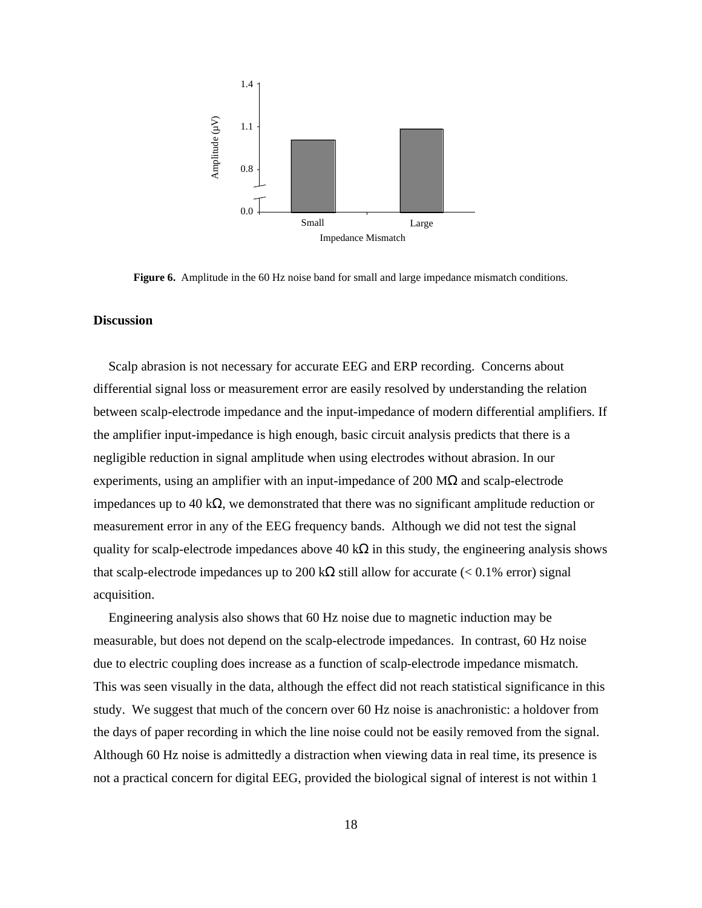

**Figure 6.** Amplitude in the 60 Hz noise band for small and large impedance mismatch conditions.

# **Discussion**

Scalp abrasion is not necessary for accurate EEG and ERP recording. Concerns about differential signal loss or measurement error are easily resolved by understanding the relation between scalp-electrode impedance and the input-impedance of modern differential amplifiers. If the amplifier input-impedance is high enough, basic circuit analysis predicts that there is a negligible reduction in signal amplitude when using electrodes without abrasion. In our experiments, using an amplifier with an input-impedance of 200 M and scalp-electrode impedances up to 40 k , we demonstrated that there was no significant amplitude reduction or measurement error in any of the EEG frequency bands. Although we did not test the signal quality for scalp-electrode impedances above  $40 \text{ k}$  in this study, the engineering analysis shows that scalp-electrode impedances up to  $200 \text{ k}$  still allow for accurate (< 0.1% error) signal acquisition.

Engineering analysis also shows that 60 Hz noise due to magnetic induction may be measurable, but does not depend on the scalp-electrode impedances. In contrast, 60 Hz noise due to electric coupling does increase as a function of scalp-electrode impedance mismatch. This was seen visually in the data, although the effect did not reach statistical significance in this study. We suggest that much of the concern over 60 Hz noise is anachronistic: a holdover from the days of paper recording in which the line noise could not be easily removed from the signal. Although 60 Hz noise is admittedly a distraction when viewing data in real time, its presence is not a practical concern for digital EEG, provided the biological signal of interest is not within 1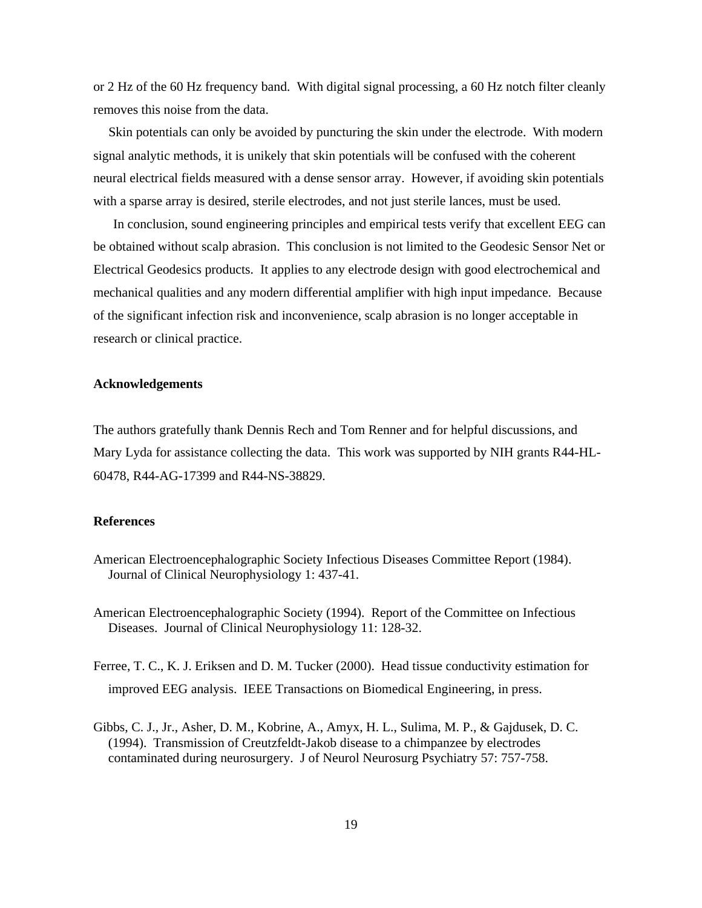or 2 Hz of the 60 Hz frequency band. With digital signal processing, a 60 Hz notch filter cleanly removes this noise from the data.

Skin potentials can only be avoided by puncturing the skin under the electrode. With modern signal analytic methods, it is unikely that skin potentials will be confused with the coherent neural electrical fields measured with a dense sensor array. However, if avoiding skin potentials with a sparse array is desired, sterile electrodes, and not just sterile lances, must be used.

In conclusion, sound engineering principles and empirical tests verify that excellent EEG can be obtained without scalp abrasion. This conclusion is not limited to the Geodesic Sensor Net or Electrical Geodesics products. It applies to any electrode design with good electrochemical and mechanical qualities and any modern differential amplifier with high input impedance. Because of the significant infection risk and inconvenience, scalp abrasion is no longer acceptable in research or clinical practice.

### **Acknowledgements**

The authors gratefully thank Dennis Rech and Tom Renner and for helpful discussions, and Mary Lyda for assistance collecting the data. This work was supported by NIH grants R44-HL-60478, R44-AG-17399 and R44-NS-38829.

#### **References**

American Electroencephalographic Society Infectious Diseases Committee Report (1984). Journal of Clinical Neurophysiology 1: 437-41.

American Electroencephalographic Society (1994). Report of the Committee on Infectious Diseases. Journal of Clinical Neurophysiology 11: 128-32.

- Ferree, T. C., K. J. Eriksen and D. M. Tucker (2000). Head tissue conductivity estimation for improved EEG analysis. IEEE Transactions on Biomedical Engineering, in press.
- Gibbs, C. J., Jr., Asher, D. M., Kobrine, A., Amyx, H. L., Sulima, M. P., & Gajdusek, D. C. (1994). Transmission of Creutzfeldt-Jakob disease to a chimpanzee by electrodes contaminated during neurosurgery. J of Neurol Neurosurg Psychiatry 57: 757-758.